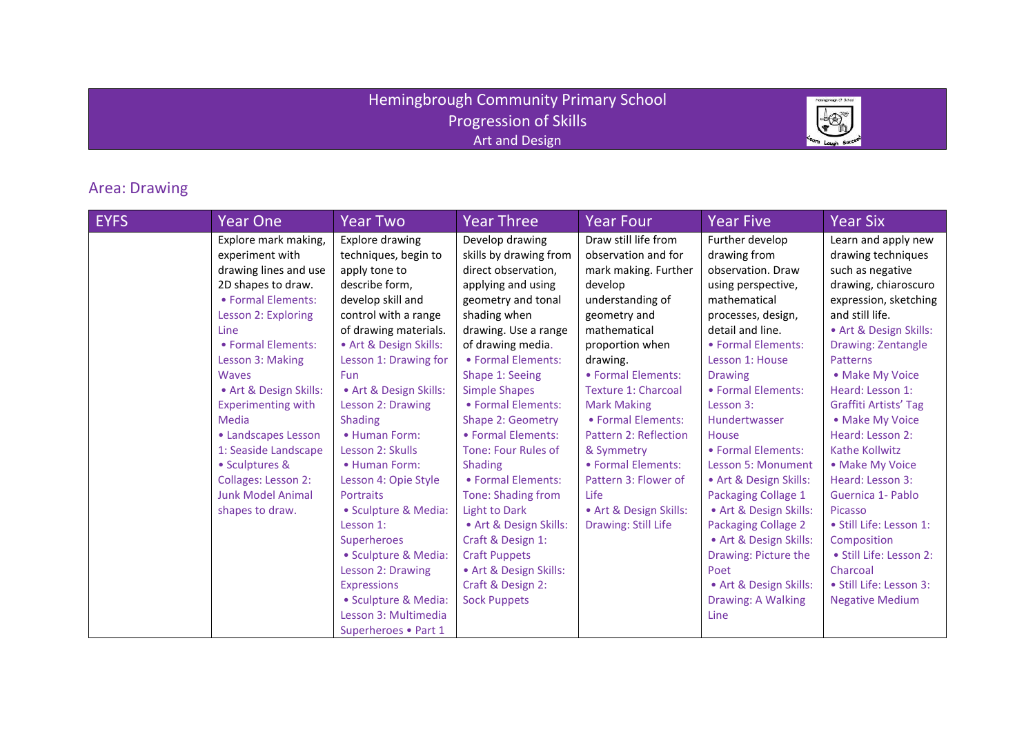## Hemingbrough Community Primary School Progression of Skills Art and Design



## Area: Drawing

| <b>EYFS</b> | Year One                  | <b>Year Two</b>        | <b>Year Three</b>          | <b>Year Four</b>             | <b>Year Five</b>           | <b>Year Six</b>           |
|-------------|---------------------------|------------------------|----------------------------|------------------------------|----------------------------|---------------------------|
|             | Explore mark making,      | Explore drawing        | Develop drawing            | Draw still life from         | Further develop            | Learn and apply new       |
|             | experiment with           | techniques, begin to   | skills by drawing from     | observation and for          | drawing from               | drawing techniques        |
|             | drawing lines and use     | apply tone to          | direct observation,        | mark making. Further         | observation. Draw          | such as negative          |
|             | 2D shapes to draw.        | describe form,         | applying and using         | develop                      | using perspective,         | drawing, chiaroscuro      |
|             | • Formal Elements:        | develop skill and      | geometry and tonal         | understanding of             | mathematical               | expression, sketching     |
|             | Lesson 2: Exploring       | control with a range   | shading when               | geometry and                 | processes, design,         | and still life.           |
|             | Line                      | of drawing materials.  | drawing. Use a range       | mathematical                 | detail and line.           | • Art & Design Skills:    |
|             | • Formal Elements:        | • Art & Design Skills: | of drawing media.          | proportion when              | • Formal Elements:         | <b>Drawing: Zentangle</b> |
|             | Lesson 3: Making          | Lesson 1: Drawing for  | • Formal Elements:         | drawing.                     | Lesson 1: House            | <b>Patterns</b>           |
|             | <b>Waves</b>              | <b>Fun</b>             | Shape 1: Seeing            | • Formal Elements:           | <b>Drawing</b>             | • Make My Voice           |
|             | • Art & Design Skills:    | • Art & Design Skills: | <b>Simple Shapes</b>       | <b>Texture 1: Charcoal</b>   | • Formal Elements:         | Heard: Lesson 1:          |
|             | <b>Experimenting with</b> | Lesson 2: Drawing      | • Formal Elements:         | <b>Mark Making</b>           | Lesson 3:                  | Graffiti Artists' Tag     |
|             | Media                     | Shading                | Shape 2: Geometry          | • Formal Elements:           | Hundertwasser              | • Make My Voice           |
|             | • Landscapes Lesson       | • Human Form:          | • Formal Elements:         | <b>Pattern 2: Reflection</b> | House                      | Heard: Lesson 2:          |
|             | 1: Seaside Landscape      | Lesson 2: Skulls       | <b>Tone: Four Rules of</b> | & Symmetry                   | • Formal Elements:         | Kathe Kollwitz            |
|             | • Sculptures &            | • Human Form:          | <b>Shading</b>             | • Formal Elements:           | <b>Lesson 5: Monument</b>  | • Make My Voice           |
|             | Collages: Lesson 2:       | Lesson 4: Opie Style   | • Formal Elements:         | Pattern 3: Flower of         | • Art & Design Skills:     | Heard: Lesson 3:          |
|             | <b>Junk Model Animal</b>  | <b>Portraits</b>       | Tone: Shading from         | <b>Life</b>                  | Packaging Collage 1        | Guernica 1- Pablo         |
|             | shapes to draw.           | · Sculpture & Media:   | <b>Light to Dark</b>       | • Art & Design Skills:       | • Art & Design Skills:     | Picasso                   |
|             |                           | Lesson 1:              | • Art & Design Skills:     | Drawing: Still Life          | <b>Packaging Collage 2</b> | • Still Life: Lesson 1:   |
|             |                           | Superheroes            | Craft & Design 1:          |                              | • Art & Design Skills:     | Composition               |
|             |                           | · Sculpture & Media:   | <b>Craft Puppets</b>       |                              | Drawing: Picture the       | · Still Life: Lesson 2:   |
|             |                           | Lesson 2: Drawing      | • Art & Design Skills:     |                              | Poet                       | Charcoal                  |
|             |                           | <b>Expressions</b>     | Craft & Design 2:          |                              | • Art & Design Skills:     | · Still Life: Lesson 3:   |
|             |                           | · Sculpture & Media:   | <b>Sock Puppets</b>        |                              | Drawing: A Walking         | <b>Negative Medium</b>    |
|             |                           | Lesson 3: Multimedia   |                            |                              | Line                       |                           |
|             |                           | Superheroes . Part 1   |                            |                              |                            |                           |